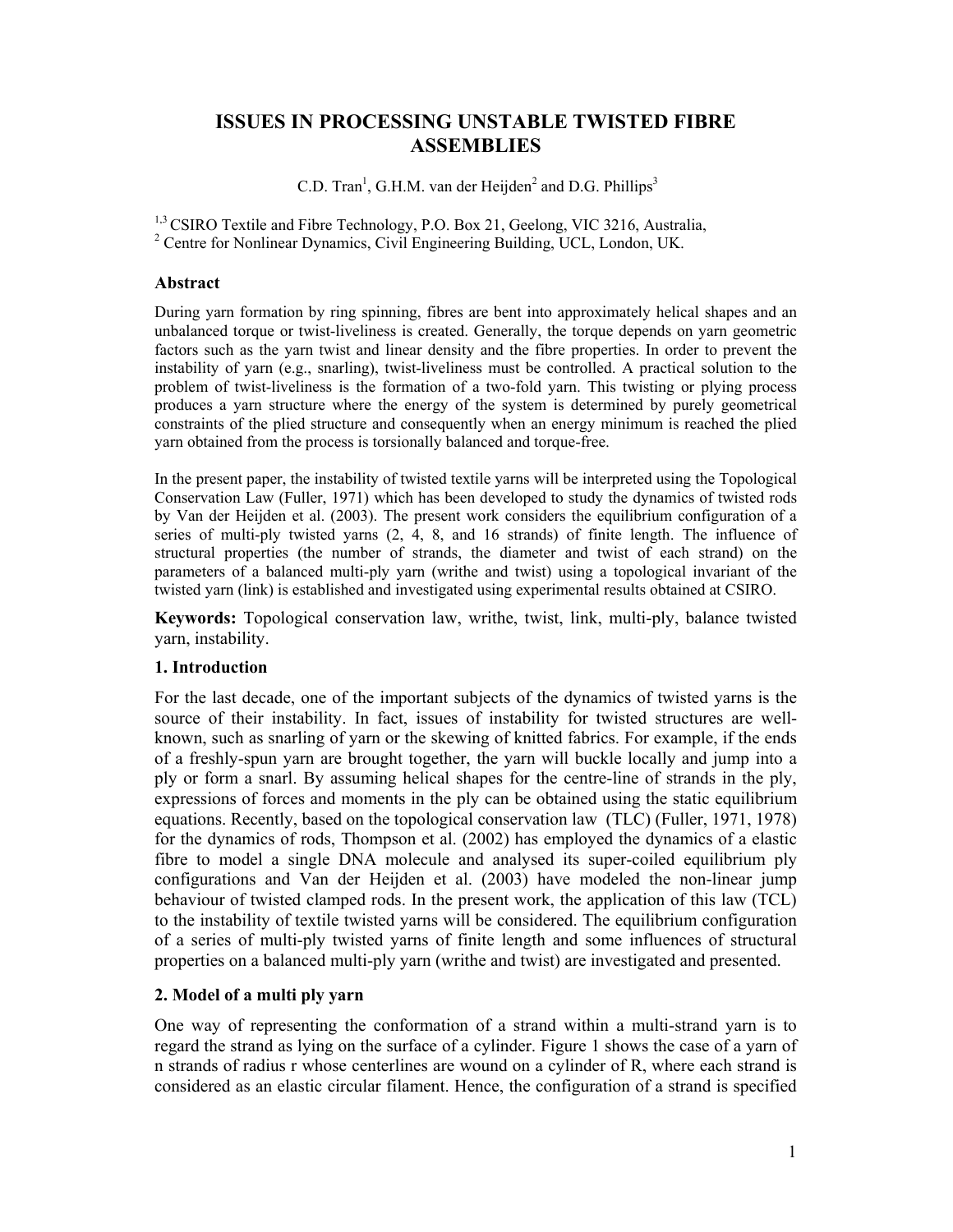# **ISSUES IN PROCESSING UNSTABLE TWISTED FIBRE ASSEMBLIES**

C.D. Tran<sup>1</sup>, G.H.M. van der Heijden<sup>2</sup> and D.G. Phillips<sup>3</sup>

<sup>1,3</sup> CSIRO Textile and Fibre Technology, P.O. Box 21, Geelong, VIC 3216, Australia, <sup>2</sup> Centre for Nonlinear Dynamics, Civil Engineering Building, UCL, London, UK.

# **Abstract**

During yarn formation by ring spinning, fibres are bent into approximately helical shapes and an unbalanced torque or twist-liveliness is created. Generally, the torque depends on yarn geometric factors such as the yarn twist and linear density and the fibre properties. In order to prevent the instability of yarn (e.g., snarling), twist-liveliness must be controlled. A practical solution to the problem of twist-liveliness is the formation of a two-fold yarn. This twisting or plying process produces a yarn structure where the energy of the system is determined by purely geometrical constraints of the plied structure and consequently when an energy minimum is reached the plied yarn obtained from the process is torsionally balanced and torque-free.

In the present paper, the instability of twisted textile yarns will be interpreted using the Topological Conservation Law (Fuller, 1971) which has been developed to study the dynamics of twisted rods by Van der Heijden et al. (2003). The present work considers the equilibrium configuration of a series of multi-ply twisted yarns (2, 4, 8, and 16 strands) of finite length. The influence of structural properties (the number of strands, the diameter and twist of each strand) on the parameters of a balanced multi-ply yarn (writhe and twist) using a topological invariant of the twisted yarn (link) is established and investigated using experimental results obtained at CSIRO.

**Keywords:** Topological conservation law, writhe, twist, link, multi-ply, balance twisted yarn, instability.

# **1. Introduction**

For the last decade, one of the important subjects of the dynamics of twisted yarns is the source of their instability. In fact, issues of instability for twisted structures are wellknown, such as snarling of yarn or the skewing of knitted fabrics. For example, if the ends of a freshly-spun yarn are brought together, the yarn will buckle locally and jump into a ply or form a snarl. By assuming helical shapes for the centre-line of strands in the ply, expressions of forces and moments in the ply can be obtained using the static equilibrium equations. Recently, based on the topological conservation law (TLC) (Fuller, 1971, 1978) for the dynamics of rods, Thompson et al. (2002) has employed the dynamics of a elastic fibre to model a single DNA molecule and analysed its super-coiled equilibrium ply configurations and Van der Heijden et al. (2003) have modeled the non-linear jump behaviour of twisted clamped rods. In the present work, the application of this law (TCL) to the instability of textile twisted yarns will be considered. The equilibrium configuration of a series of multi-ply twisted yarns of finite length and some influences of structural properties on a balanced multi-ply yarn (writhe and twist) are investigated and presented.

# **2. Model of a multi ply yarn**

One way of representing the conformation of a strand within a multi-strand yarn is to regard the strand as lying on the surface of a cylinder. Figure 1 shows the case of a yarn of n strands of radius r whose centerlines are wound on a cylinder of R, where each strand is considered as an elastic circular filament. Hence, the configuration of a strand is specified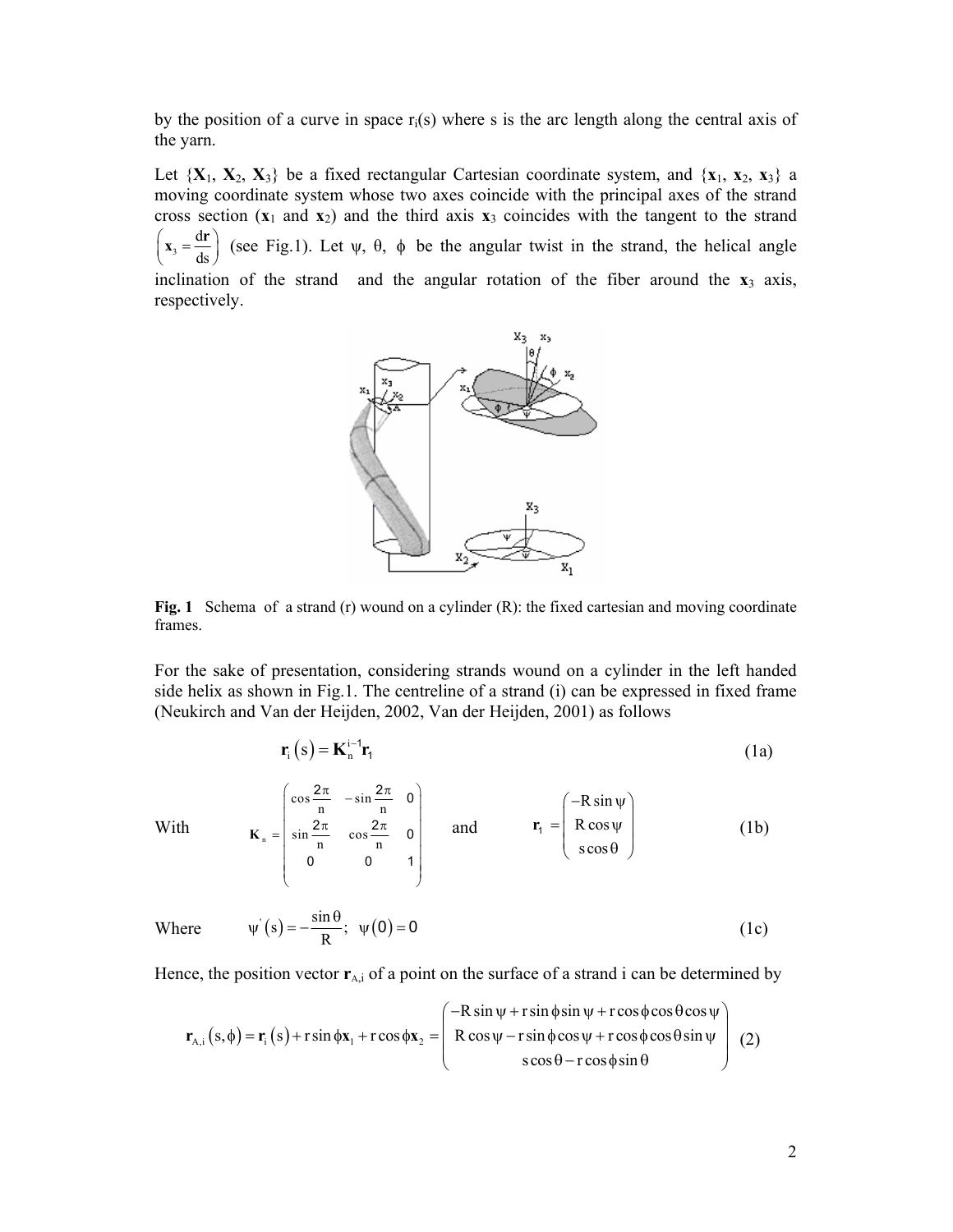by the position of a curve in space  $r_i(s)$  where s is the arc length along the central axis of the yarn.

Let  $\{X_1, X_2, X_3\}$  be a fixed rectangular Cartesian coordinate system, and  $\{x_1, x_2, x_3\}$  a moving coordinate system whose two axes coincide with the principal axes of the strand cross section  $(x_1$  and  $x_2)$  and the third axis  $x_3$  coincides with the tangent to the strand 3 d  $\left(\mathbf{x}_3 = \frac{d\mathbf{r}}{ds}\right)$  (see Fig.1). Let  $\psi$ ,  $\theta$ ,  $\phi$  be the angular twist in the strand, the helical angle inclination of the strand and the angular rotation of the fiber around the  $\mathbf{x}_3$  axis, respectively.



Fig. 1 Schema of a strand (r) wound on a cylinder (R): the fixed cartesian and moving coordinate frames.

For the sake of presentation, considering strands wound on a cylinder in the left handed side helix as shown in Fig.1. The centreline of a strand (i) can be expressed in fixed frame (Neukirch and Van der Heijden, 2002, Van der Heijden, 2001) as follows

$$
\mathbf{r}_{i}\left(s\right) = \mathbf{K}_{n}^{i-1}\mathbf{r}_{i}
$$
 (1a)

With

$$
\mathbf{K}_{n} = \begin{pmatrix} \cos\frac{2\pi}{n} & -\sin\frac{2\pi}{n} & 0\\ \sin\frac{2\pi}{n} & \cos\frac{2\pi}{n} & 0\\ 0 & 0 & 1 \end{pmatrix} \quad \text{and} \quad \mathbf{r}_{1} = \begin{pmatrix} -R\sin\psi\\ R\cos\psi\\ \cos\theta \end{pmatrix}
$$
 (1b)

Where 
$$
\psi(s) = -\frac{\sin \theta}{R}
$$
;  $\psi(0) = 0$  (1c)

Hence, the position vector  $r_{A,i}$  of a point on the surface of a strand i can be determined by

$$
\mathbf{r}_{A,i}(s,\phi) = \mathbf{r}_i(s) + r\sin\phi\mathbf{x}_1 + r\cos\phi\mathbf{x}_2 = \begin{pmatrix} -R\sin\psi + r\sin\phi\sin\psi + r\cos\phi\cos\theta\cos\psi \\ R\cos\psi - r\sin\phi\cos\psi + r\cos\phi\cos\theta\sin\psi \\ s\cos\theta - r\cos\phi\sin\theta \end{pmatrix} (2)
$$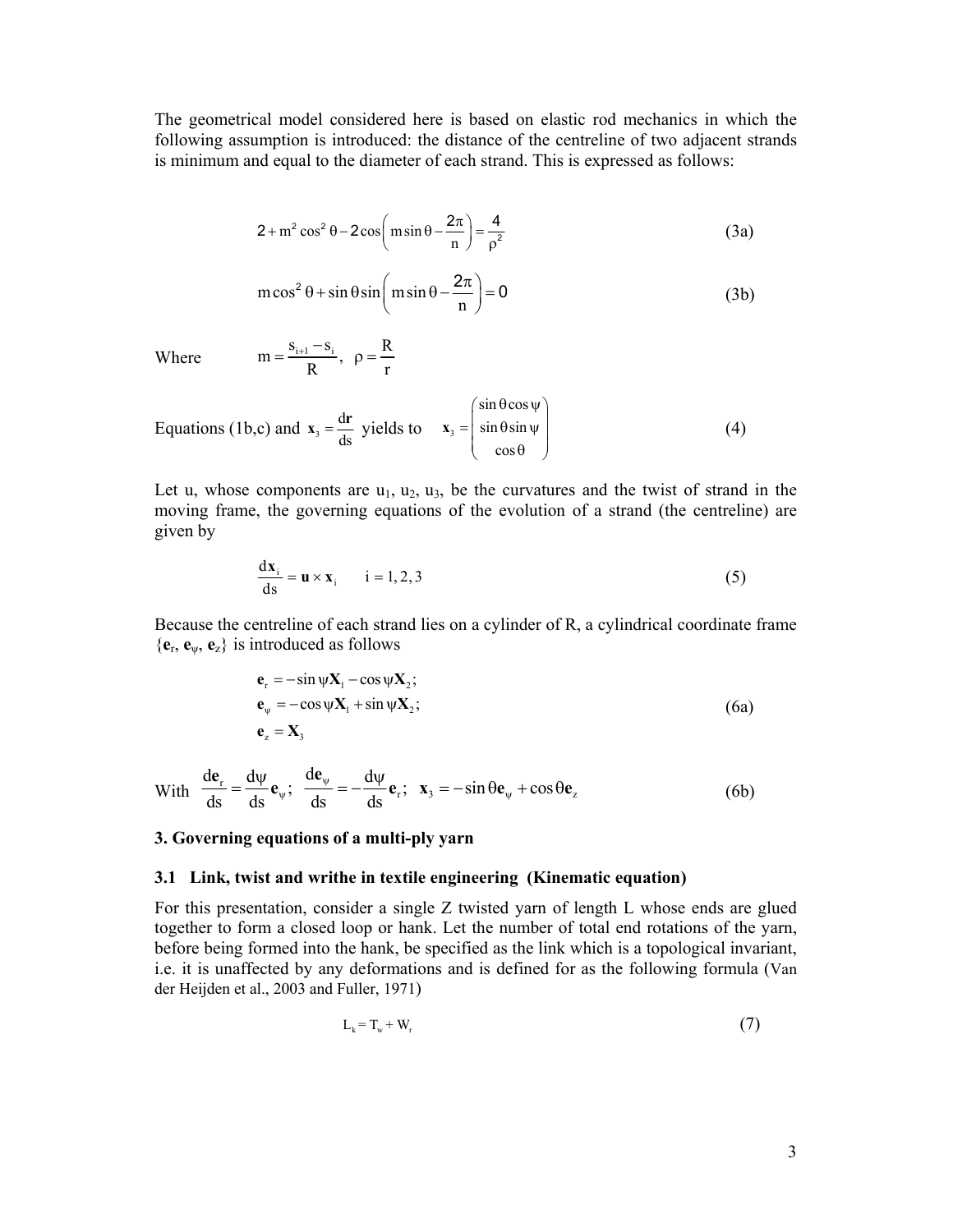The geometrical model considered here is based on elastic rod mechanics in which the following assumption is introduced: the distance of the centreline of two adjacent strands is minimum and equal to the diameter of each strand. This is expressed as follows:

$$
2 + m2 cos2 \theta - 2 cos \left(m sin \theta - \frac{2\pi}{n}\right) = \frac{4}{\rho^{2}}
$$
 (3a)

$$
m\cos^2\theta + \sin\theta\sin\left(m\sin\theta - \frac{2\pi}{n}\right) = 0
$$
 (3b)

Where  $m = \frac{s_{i+1} - s_i}{R}$ ,  $\rho = \frac{R}{r}$ 

Equations (1b,c) and 
$$
\mathbf{x}_3 = \frac{d\mathbf{r}}{ds}
$$
 yields to  $\mathbf{x}_3 = \begin{pmatrix} \sin \theta \cos \psi \\ \sin \theta \sin \psi \\ \cos \theta \end{pmatrix}$  (4)

Let u, whose components are  $u_1, u_2, u_3$ , be the curvatures and the twist of strand in the moving frame, the governing equations of the evolution of a strand (the centreline) are given by

$$
\frac{d\mathbf{x}_i}{ds} = \mathbf{u} \times \mathbf{x}_i \qquad i = 1, 2, 3
$$
 (5)

Because the centreline of each strand lies on a cylinder of R, a cylindrical coordinate frame {**e**r, **e**ψ, **e**z} is introduced as follows

$$
\begin{aligned}\n\mathbf{e}_r &= -\sin\psi \mathbf{X}_1 - \cos\psi \mathbf{X}_2; \\
\mathbf{e}_\psi &= -\cos\psi \mathbf{X}_1 + \sin\psi \mathbf{X}_2; \\
\mathbf{e}_z &= \mathbf{X}_3\n\end{aligned} \tag{6a}
$$

With 
$$
\frac{d\mathbf{e}_r}{ds} = \frac{d\psi}{ds}\mathbf{e}_\psi
$$
;  $\frac{d\mathbf{e}_\psi}{ds} = -\frac{d\psi}{ds}\mathbf{e}_r$ ;  $\mathbf{x}_3 = -\sin\theta\mathbf{e}_\psi + \cos\theta\mathbf{e}_z$  (6b)

## **3. Governing equations of a multi-ply yarn**

## **3.1 Link, twist and writhe in textile engineering (Kinematic equation)**

For this presentation, consider a single Z twisted yarn of length L whose ends are glued together to form a closed loop or hank. Let the number of total end rotations of the yarn, before being formed into the hank, be specified as the link which is a topological invariant, i.e. it is unaffected by any deformations and is defined for as the following formula (Van der Heijden et al., 2003 and Fuller, 1971)

$$
L_k = T_w + W_r \tag{7}
$$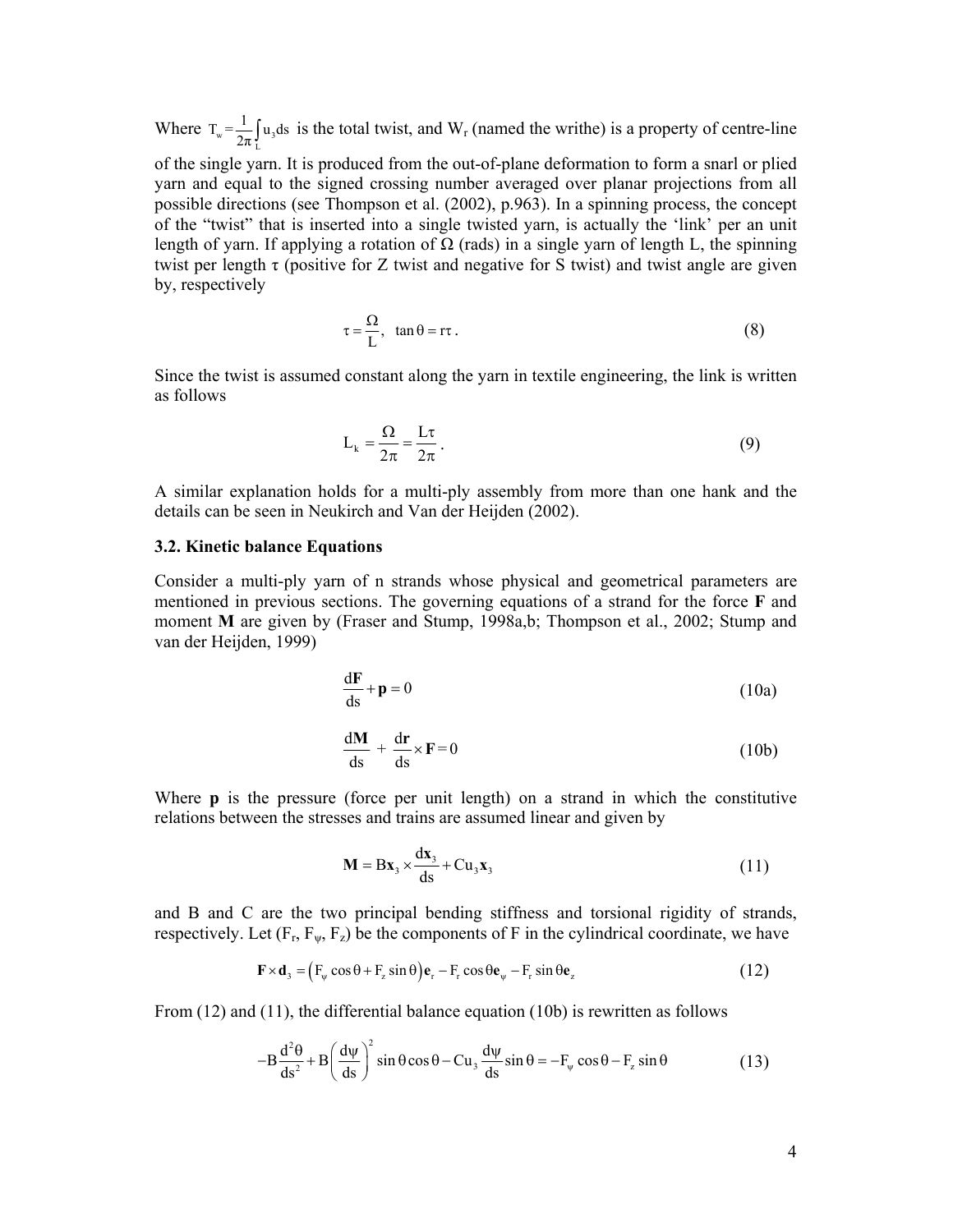Where  $T_w = \frac{1}{2\pi} \int_{L} u_3$  $T_w = \frac{1}{2\pi} \int_a u_3 ds$  is the total twist, and W<sub>r</sub> (named the writhe) is a property of centre-line of the single yarn. It is produced from the out-of-plane deformation to form a snarl or plied yarn and equal to the signed crossing number averaged over planar projections from all possible directions (see Thompson et al. (2002), p.963). In a spinning process, the concept of the "twist" that is inserted into a single twisted yarn, is actually the 'link' per an unit length of yarn. If applying a rotation of  $\Omega$  (rads) in a single yarn of length L, the spinning twist per length  $\tau$  (positive for Z twist and negative for S twist) and twist angle are given by, respectively

$$
\tau = \frac{\Omega}{L}, \quad \tan \theta = r\tau \,. \tag{8}
$$

Since the twist is assumed constant along the yarn in textile engineering, the link is written as follows

$$
L_k = \frac{\Omega}{2\pi} = \frac{L\tau}{2\pi}.
$$
\n(9)

A similar explanation holds for a multi-ply assembly from more than one hank and the details can be seen in Neukirch and Van der Heijden (2002).

#### **3.2. Kinetic balance Equations**

Consider a multi-ply yarn of n strands whose physical and geometrical parameters are mentioned in previous sections. The governing equations of a strand for the force **F** and moment **M** are given by (Fraser and Stump, 1998a,b; Thompson et al., 2002; Stump and van der Heijden, 1999)

$$
\frac{dF}{ds} + p = 0 \tag{10a}
$$

$$
\frac{d\mathbf{M}}{ds} + \frac{d\mathbf{r}}{ds} \times \mathbf{F} = 0
$$
 (10b)

Where **p** is the pressure (force per unit length) on a strand in which the constitutive relations between the stresses and trains are assumed linear and given by

$$
\mathbf{M} = \mathbf{B}\mathbf{x}_3 \times \frac{d\mathbf{x}_3}{ds} + \mathbf{C}\mathbf{u}_3 \mathbf{x}_3 \tag{11}
$$

and B and C are the two principal bending stiffness and torsional rigidity of strands, respectively. Let  $(F_r, F_\psi, F_z)$  be the components of F in the cylindrical coordinate, we have

$$
\mathbf{F} \times \mathbf{d}_3 = (F_{\psi} \cos \theta + F_{z} \sin \theta) \mathbf{e}_r - F_r \cos \theta \mathbf{e}_{\psi} - F_r \sin \theta \mathbf{e}_{z}
$$
(12)

From (12) and (11), the differential balance equation (10b) is rewritten as follows

$$
-B\frac{d^2\theta}{ds^2} + B\left(\frac{d\psi}{ds}\right)^2 \sin\theta \cos\theta - Cu_3 \frac{d\psi}{ds} \sin\theta = -F_\psi \cos\theta - F_z \sin\theta \tag{13}
$$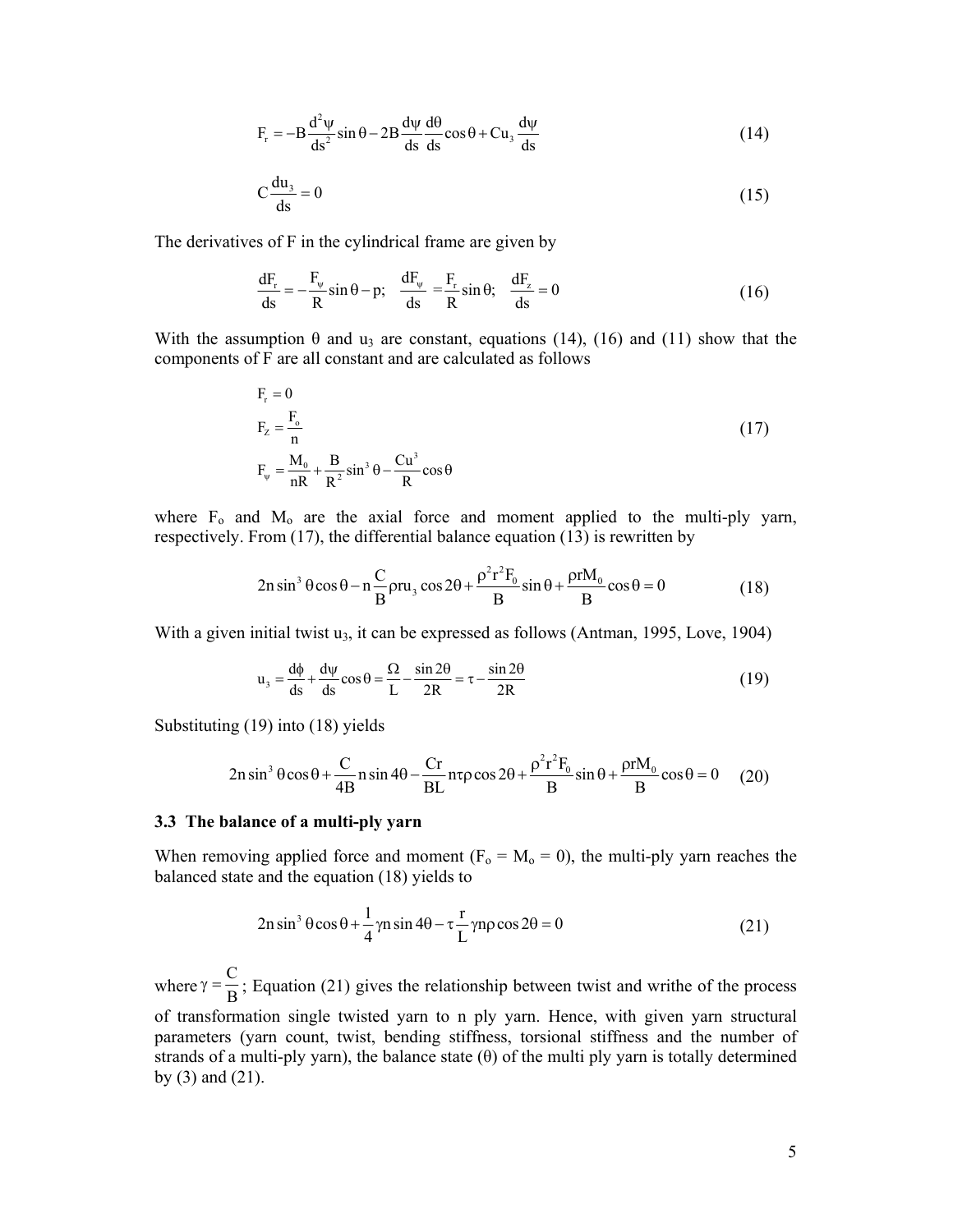$$
F_r = -B \frac{d^2 \psi}{ds^2} \sin \theta - 2B \frac{d\psi}{ds} \frac{d\theta}{ds} \cos \theta + C u_3 \frac{d\psi}{ds}
$$
 (14)

$$
C\frac{du_3}{ds} = 0\tag{15}
$$

The derivatives of F in the cylindrical frame are given by

$$
\frac{dF_r}{ds} = -\frac{F_\psi}{R}\sin\theta - p; \quad \frac{dF_\psi}{ds} = \frac{F_r}{R}\sin\theta; \quad \frac{dF_z}{ds} = 0
$$
\n(16)

With the assumption  $\theta$  and  $u_3$  are constant, equations (14), (16) and (11) show that the components of F are all constant and are calculated as follows

$$
F_r = 0
$$
  
\n
$$
F_z = \frac{F_o}{n}
$$
  
\n
$$
F_w = \frac{M_o}{nR} + \frac{B}{R^2} \sin^3 \theta - \frac{Cu^3}{R} \cos \theta
$$
\n(17)

where  $F_0$  and  $M_0$  are the axial force and moment applied to the multi-ply yarn, respectively. From (17), the differential balance equation (13) is rewritten by

$$
2n\sin^3\theta\cos\theta - n\frac{C}{B}\rho ru_3\cos 2\theta + \frac{\rho^2r^2F_0}{B}\sin\theta + \frac{\rho rM_0}{B}\cos\theta = 0
$$
 (18)

With a given initial twist  $u_3$ , it can be expressed as follows (Antman, 1995, Love, 1904)

$$
u_3 = \frac{d\phi}{ds} + \frac{d\psi}{ds}\cos\theta = \frac{\Omega}{L} - \frac{\sin 2\theta}{2R} = \tau - \frac{\sin 2\theta}{2R}
$$
(19)

Substituting (19) into (18) yields

$$
2n\sin^3\theta\cos\theta + \frac{C}{4B}n\sin 4\theta - \frac{Cr}{BL}n\tau\rho\cos 2\theta + \frac{\rho^2r^2F_0}{B}\sin\theta + \frac{\rho rM_0}{B}\cos\theta = 0 \quad (20)
$$

#### **3.3 The balance of a multi-ply yarn**

When removing applied force and moment ( $F_0 = M_0 = 0$ ), the multi-ply yarn reaches the balanced state and the equation (18) yields to

$$
2n\sin^3\theta\cos\theta + \frac{1}{4}\gamma n\sin 4\theta - \tau\frac{r}{L}\gamma np\cos 2\theta = 0
$$
 (21)

where  $\gamma = \frac{C}{B}$ ; Equation (21) gives the relationship between twist and writhe of the process of transformation single twisted yarn to n ply yarn. Hence, with given yarn structural parameters (yarn count, twist, bending stiffness, torsional stiffness and the number of strands of a multi-ply yarn), the balance state  $(\theta)$  of the multi ply yarn is totally determined by (3) and (21).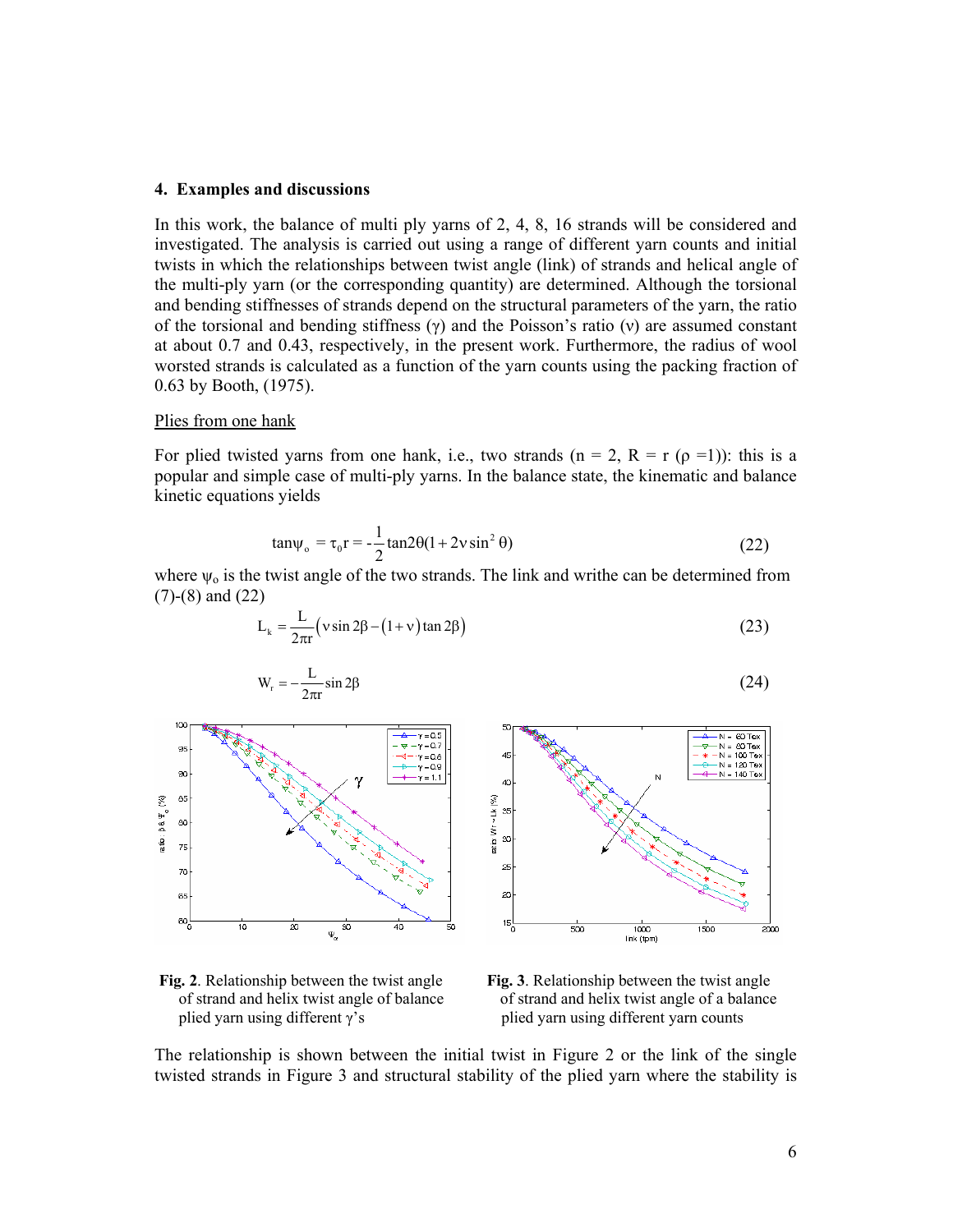#### **4. Examples and discussions**

In this work, the balance of multi ply yarns of 2, 4, 8, 16 strands will be considered and investigated. The analysis is carried out using a range of different yarn counts and initial twists in which the relationships between twist angle (link) of strands and helical angle of the multi-ply yarn (or the corresponding quantity) are determined. Although the torsional and bending stiffnesses of strands depend on the structural parameters of the yarn, the ratio of the torsional and bending stiffness  $(\gamma)$  and the Poisson's ratio  $(\gamma)$  are assumed constant at about 0.7 and 0.43, respectively, in the present work. Furthermore, the radius of wool worsted strands is calculated as a function of the yarn counts using the packing fraction of 0.63 by Booth, (1975).

#### Plies from one hank

For plied twisted yarns from one hank, i.e., two strands (n = 2, R = r  $(\rho =1)$ ): this is a popular and simple case of multi-ply yarns. In the balance state, the kinematic and balance kinetic equations yields

$$
\tan \psi_{o} = \tau_{0} r = -\frac{1}{2} \tan 2\theta (1 + 2v \sin^{2} \theta)
$$
 (22)

where  $\psi_0$  is the twist angle of the two strands. The link and writhe can be determined from (7)-(8) and (22)

$$
L_{k} = \frac{L}{2\pi r} \left( v \sin 2\beta - (1 + v) \tan 2\beta \right)
$$
 (23)

$$
W_r = -\frac{L}{2\pi r} \sin 2\beta \tag{24}
$$





plied yarn using different  $\gamma$ 's plied yarn using different yarn counts

**Fig. 2**. Relationship between the twist angle **Fig. 3**. Relationship between the twist angle of strand and helix twist angle of balance of strand and helix twist angle of a balance

The relationship is shown between the initial twist in Figure 2 or the link of the single twisted strands in Figure 3 and structural stability of the plied yarn where the stability is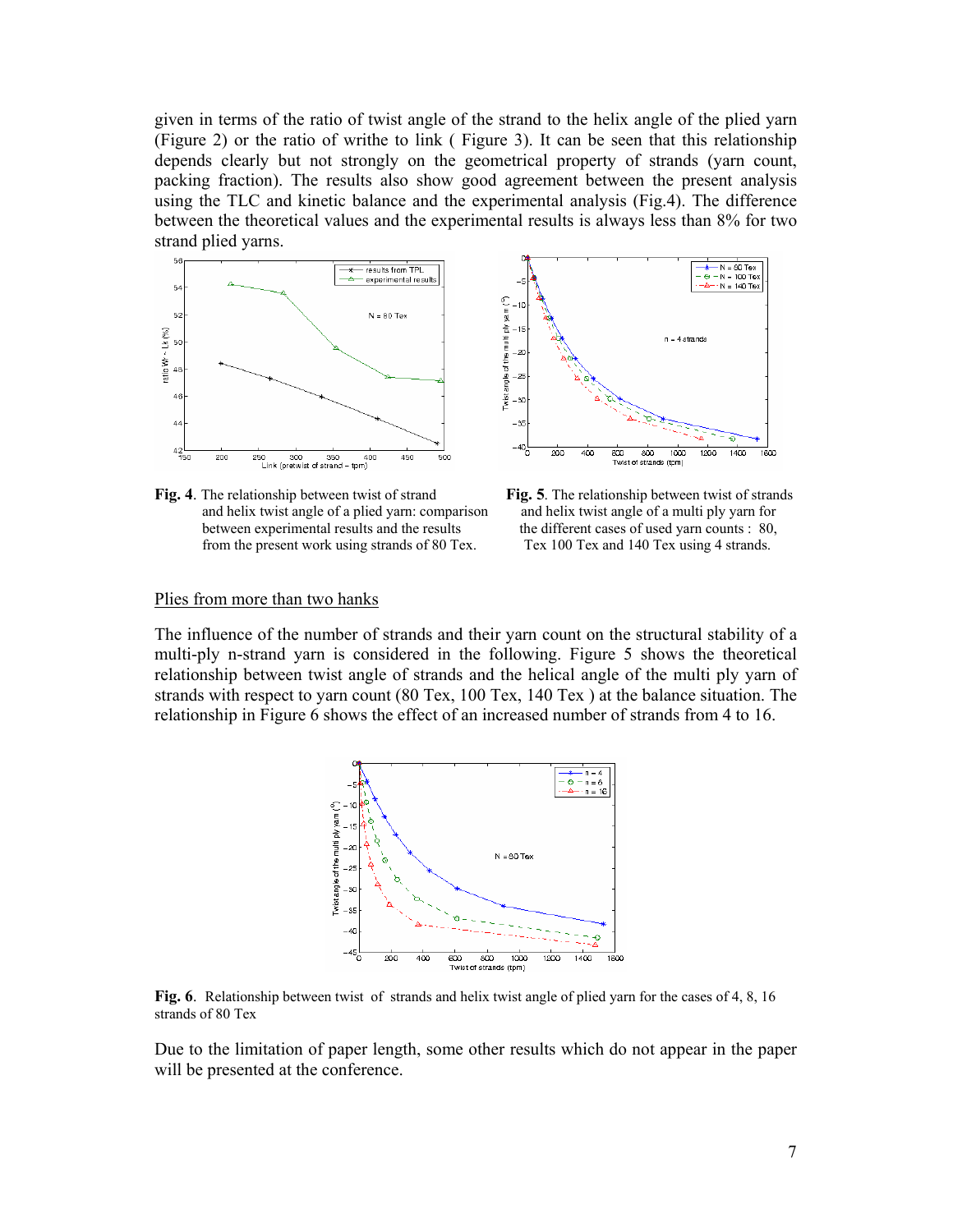given in terms of the ratio of twist angle of the strand to the helix angle of the plied yarn (Figure 2) or the ratio of writhe to link ( Figure 3). It can be seen that this relationship depends clearly but not strongly on the geometrical property of strands (yarn count, packing fraction). The results also show good agreement between the present analysis using the TLC and kinetic balance and the experimental analysis (Fig.4). The difference between the theoretical values and the experimental results is always less than 8% for two strand plied yarns.



**Fig. 4**. The relationship between twist of strand **Fig. 5**. The relationship between twist of strands and helix twist angle of a plied yarn: comparison and helix twist angle of a multi ply yarn for between experimental results and the results the different cases of used yarn counts : 80, from the present work using strands of 80 Tex. Tex 100 Tex and 140 Tex using 4 strands.



#### Plies from more than two hanks

The influence of the number of strands and their yarn count on the structural stability of a multi-ply n-strand yarn is considered in the following. Figure 5 shows the theoretical relationship between twist angle of strands and the helical angle of the multi ply yarn of strands with respect to yarn count (80 Tex, 100 Tex, 140 Tex ) at the balance situation. The relationship in Figure 6 shows the effect of an increased number of strands from 4 to 16.



**Fig. 6**. Relationship between twist of strands and helix twist angle of plied yarn for the cases of 4, 8, 16 strands of 80 Tex

Due to the limitation of paper length, some other results which do not appear in the paper will be presented at the conference.